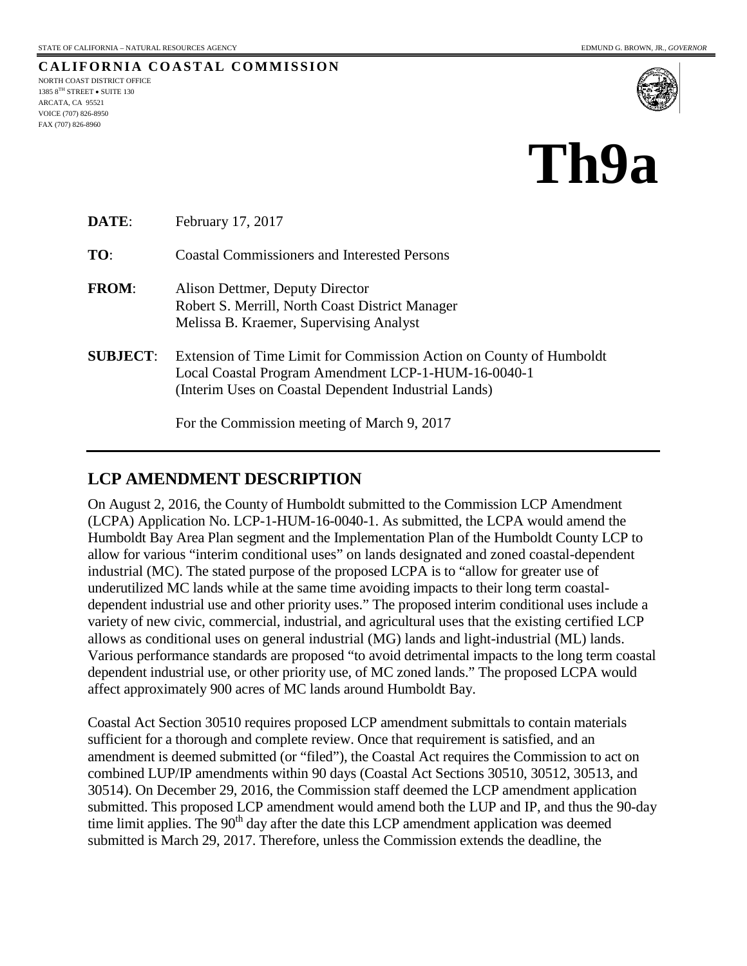**CALIFORNIA COASTAL COMMISSION** NORTH COAST DISTRICT OFFICE 1385 8TH STREET • SUITE 130 ARCATA, CA 95521 VOICE (707) 826-8950 FAX (707) 826-8960



# **Th9a**

| DATE:           | February 17, 2017                                                                                                                                                                  |
|-----------------|------------------------------------------------------------------------------------------------------------------------------------------------------------------------------------|
| TO:             | <b>Coastal Commissioners and Interested Persons</b>                                                                                                                                |
| <b>FROM:</b>    | Alison Dettmer, Deputy Director<br>Robert S. Merrill, North Coast District Manager<br>Melissa B. Kraemer, Supervising Analyst                                                      |
| <b>SUBJECT:</b> | Extension of Time Limit for Commission Action on County of Humboldt<br>Local Coastal Program Amendment LCP-1-HUM-16-0040-1<br>(Interim Uses on Coastal Dependent Industrial Lands) |
|                 | For the Commission meeting of March 9, 2017                                                                                                                                        |

# **LCP AMENDMENT DESCRIPTION**

On August 2, 2016, the County of Humboldt submitted to the Commission LCP Amendment (LCPA) Application No. LCP-1-HUM-16-0040-1. As submitted, the LCPA would amend the Humboldt Bay Area Plan segment and the Implementation Plan of the Humboldt County LCP to allow for various "interim conditional uses" on lands designated and zoned coastal-dependent industrial (MC). The stated purpose of the proposed LCPA is to "allow for greater use of underutilized MC lands while at the same time avoiding impacts to their long term coastaldependent industrial use and other priority uses." The proposed interim conditional uses include a variety of new civic, commercial, industrial, and agricultural uses that the existing certified LCP allows as conditional uses on general industrial (MG) lands and light-industrial (ML) lands. Various performance standards are proposed "to avoid detrimental impacts to the long term coastal dependent industrial use, or other priority use, of MC zoned lands." The proposed LCPA would affect approximately 900 acres of MC lands around Humboldt Bay.

Coastal Act Section 30510 requires proposed LCP amendment submittals to contain materials sufficient for a thorough and complete review. Once that requirement is satisfied, and an amendment is deemed submitted (or "filed"), the Coastal Act requires the Commission to act on combined LUP/IP amendments within 90 days (Coastal Act Sections 30510, 30512, 30513, and 30514). On December 29, 2016, the Commission staff deemed the LCP amendment application submitted. This proposed LCP amendment would amend both the LUP and IP, and thus the 90-day time limit applies. The  $90<sup>th</sup>$  day after the date this LCP amendment application was deemed submitted is March 29, 2017. Therefore, unless the Commission extends the deadline, the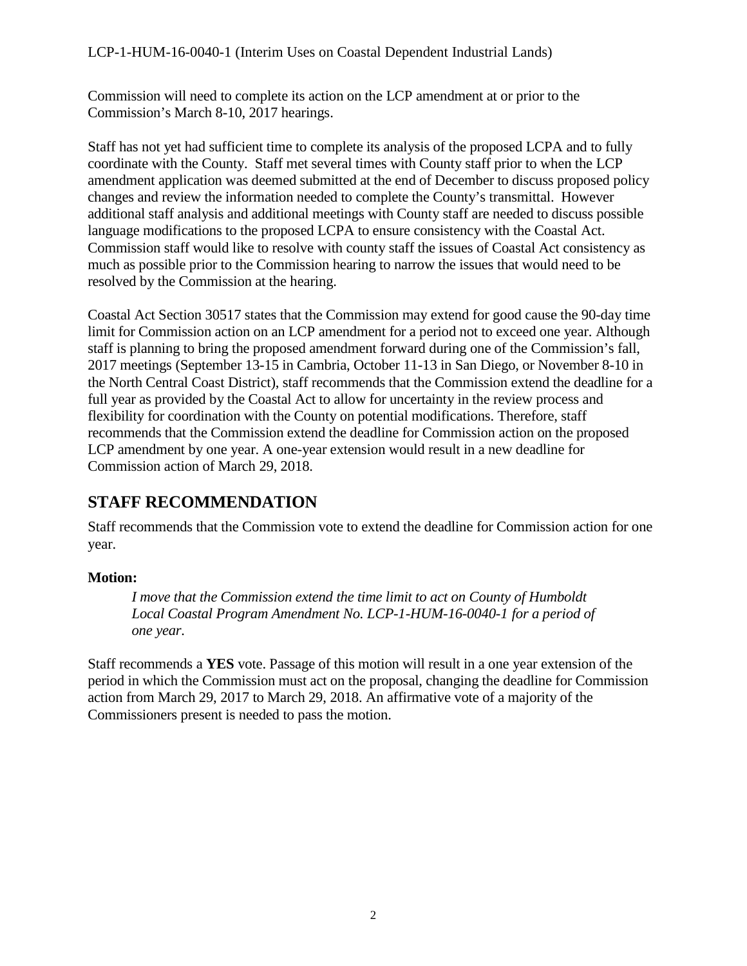# LCP-1-HUM-16-0040-1 (Interim Uses on Coastal Dependent Industrial Lands)

Commission will need to complete its action on the LCP amendment at or prior to the Commission's March 8-10, 2017 hearings.

Staff has not yet had sufficient time to complete its analysis of the proposed LCPA and to fully coordinate with the County. Staff met several times with County staff prior to when the LCP amendment application was deemed submitted at the end of December to discuss proposed policy changes and review the information needed to complete the County's transmittal. However additional staff analysis and additional meetings with County staff are needed to discuss possible language modifications to the proposed LCPA to ensure consistency with the Coastal Act. Commission staff would like to resolve with county staff the issues of Coastal Act consistency as much as possible prior to the Commission hearing to narrow the issues that would need to be resolved by the Commission at the hearing.

Coastal Act Section 30517 states that the Commission may extend for good cause the 90-day time limit for Commission action on an LCP amendment for a period not to exceed one year. Although staff is planning to bring the proposed amendment forward during one of the Commission's fall, 2017 meetings (September 13-15 in Cambria, October 11-13 in San Diego, or November 8-10 in the North Central Coast District), staff recommends that the Commission extend the deadline for a full year as provided by the Coastal Act to allow for uncertainty in the review process and flexibility for coordination with the County on potential modifications. Therefore, staff recommends that the Commission extend the deadline for Commission action on the proposed LCP amendment by one year. A one-year extension would result in a new deadline for Commission action of March 29, 2018.

# **STAFF RECOMMENDATION**

Staff recommends that the Commission vote to extend the deadline for Commission action for one year.

# **Motion:**

*I move that the Commission extend the time limit to act on County of Humboldt Local Coastal Program Amendment No. LCP-1-HUM-16-0040-1 for a period of one year.*

Staff recommends a **YES** vote. Passage of this motion will result in a one year extension of the period in which the Commission must act on the proposal, changing the deadline for Commission action from March 29, 2017 to March 29, 2018. An affirmative vote of a majority of the Commissioners present is needed to pass the motion.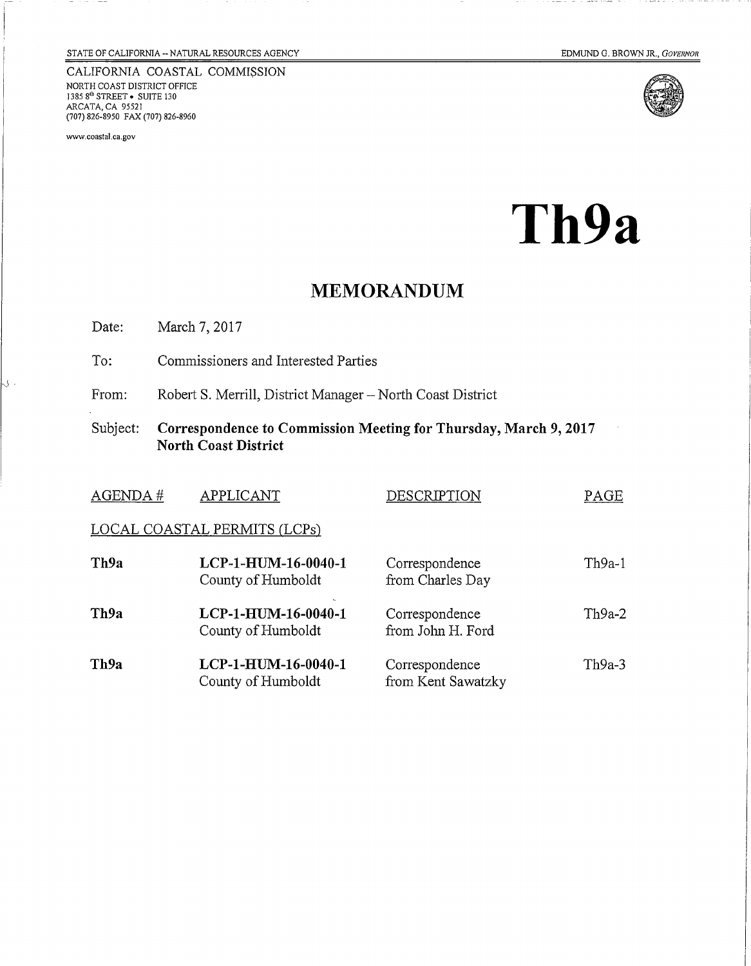CALIFORNIA COASTAL COMMISSION NORTH COAST DISTRICT OFFICE<br>1385 8<sup>th</sup> STREET • SUITE 130<br>ARCATA, CA 95521 (707) 826-8950 FAX (707) 826-8960

www.coastal.ca.gov

IJ.

 $- -$ 

----



Th9a

# **MEMORANDUM**

Date: March 7, 2017

To: Commissioners and Interested Parties

Robert S. Merrill, District Manager - North Coast District From:

Subject: Correspondence to Commission Meeting for Thursday, March 9, 2017 North Coast District

| AGENDA#                      | APPLICANT                                 | DESCRIPTION                          | PAGE   |  |  |  |
|------------------------------|-------------------------------------------|--------------------------------------|--------|--|--|--|
| LOCAL COASTAL PERMITS (LCPs) |                                           |                                      |        |  |  |  |
| Th9a                         | LCP-1-HUM-16-0040-1<br>County of Humboldt | Correspondence<br>from Charles Day   | Th9a-1 |  |  |  |
| Th9a                         | LCP-1-HUM-16-0040-1<br>County of Humboldt | Correspondence<br>from John H. Ford  | Th9a-2 |  |  |  |
| Th9a                         | LCP-1-HUM-16-0040-1<br>County of Humboldt | Correspondence<br>from Kent Sawatzky | Th9a-3 |  |  |  |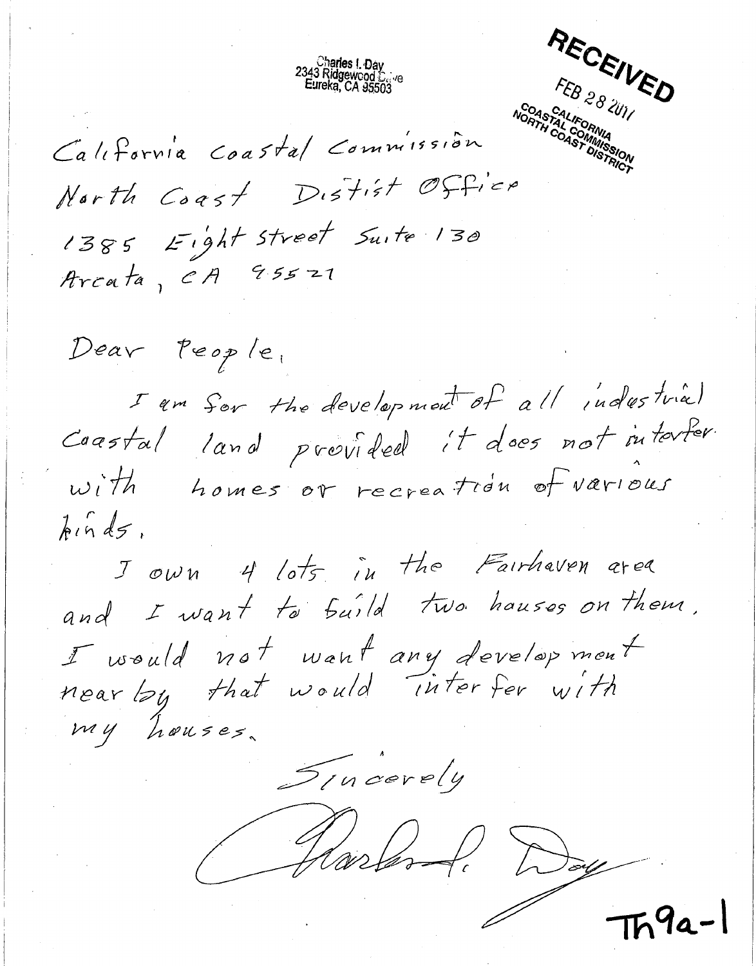RECEIVED FEB 28 2011

California Coastal Commission North Coast Distist Office 1385 Eight Street Suite 130 Arcata, CA 95521

Charles I. Day<br>: 2343 Ridgewood<br>Eureka, CA 95503

Dear People, I am for the development of all indestrial Caastal land provided it does not interter. homes or recreation of various  $with$  $\hbar$ ind $5$ ,

Jown 4 lots in the Fairhaven area and I want to build two hauses on them. I would not want any development<br>near by that would interfer with my houses.

Sincerely

Harlond, Day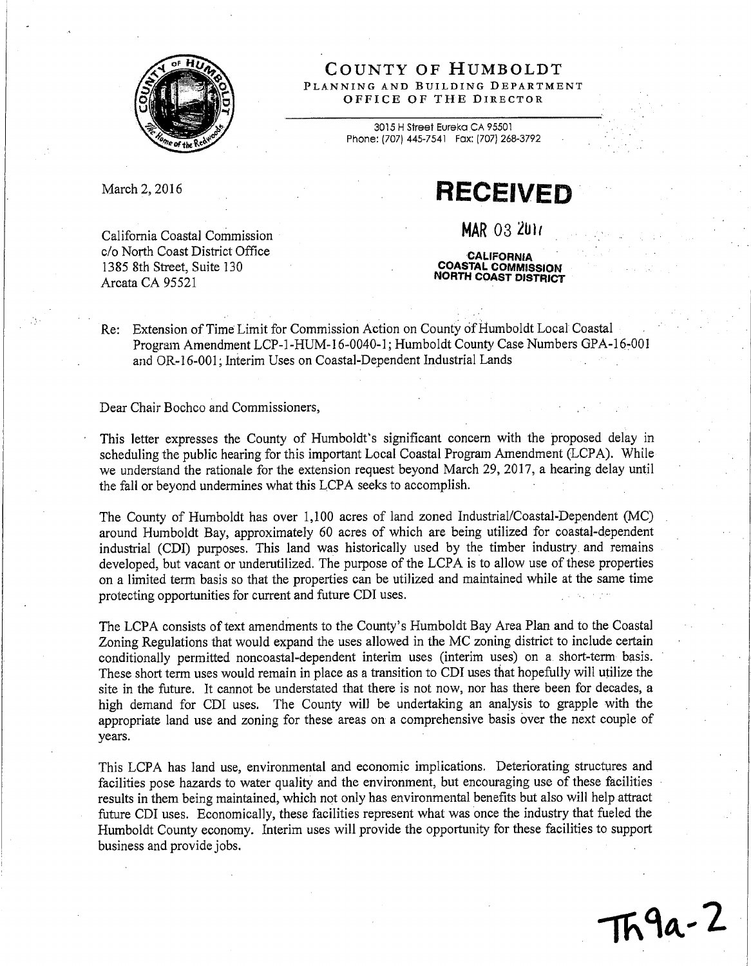

COUNTY OF HUMBOLDT PLANNING AND BUILDING DEPARTMENT OFFICE OF THE DIRECTOR

> 3015 H Street Eureka CA 95501 Phone: (707) 445-7541 Fax: (707) 268-3792

March 2, 2016

**RECEIVED** 

**MAR 03 2017** 

California Coastal Commission c/o North Coast District Office 1385 8th Street, Suite 130 Arcata CA 95521

**CALIFORNIA COASTAL COMMISSION NORTH COAST DISTRICT** 

Re: Extension of Time Limit for Commission Action on County of Humboldt Local Coastal Program Amendment LCP-1-HUM-16-0040-1; Humboldt County Case Numbers GPA-16-001 and OR-16-001; Interim Uses on Coastal-Dependent Industrial Lands

Dear Chair Bochco and Commissioners,

This letter expresses the County of Humboldt's significant concern with the proposed delay in scheduling the public hearing for this important Local Coastal Program Amendment (LCPA). While we understand the rationale for the extension request beyond March 29, 2017, a hearing delay until the fall or beyond undermines what this LCPA seeks to accomplish.

The County of Humboldt has over 1,100 acres of land zoned Industrial/Coastal-Dependent (MC) around Humboldt Bay, approximately 60 acres of which are being utilized for coastal-dependent industrial (CDI) purposes. This land was historically used by the timber industry and remains developed, but vacant or underutilized. The purpose of the LCPA is to allow use of these properties on a limited term basis so that the properties can be utilized and maintained while at the same time protecting opportunities for current and future CDI uses.

The LCPA consists of text amendments to the County's Humboldt Bay Area Plan and to the Coastal Zoning Regulations that would expand the uses allowed in the MC zoning district to include certain conditionally permitted noncoastal-dependent interim uses (interim uses) on a short-term basis. These short term uses would remain in place as a transition to CDI uses that hopefully will utilize the site in the future. It cannot be understated that there is not now, nor has there been for decades, a high demand for CDI uses. The County will be undertaking an analysis to grapple with the appropriate land use and zoning for these areas on a comprehensive basis over the next couple of years.

This LCPA has land use, environmental and economic implications. Deteriorating structures and facilities pose hazards to water quality and the environment, but encouraging use of these facilities results in them being maintained, which not only has environmental benefits but also will help attract future CDI uses. Economically, these facilities represent what was once the industry that fueled the Humboldt County economy. Interim uses will provide the opportunity for these facilities to support business and provide jobs.

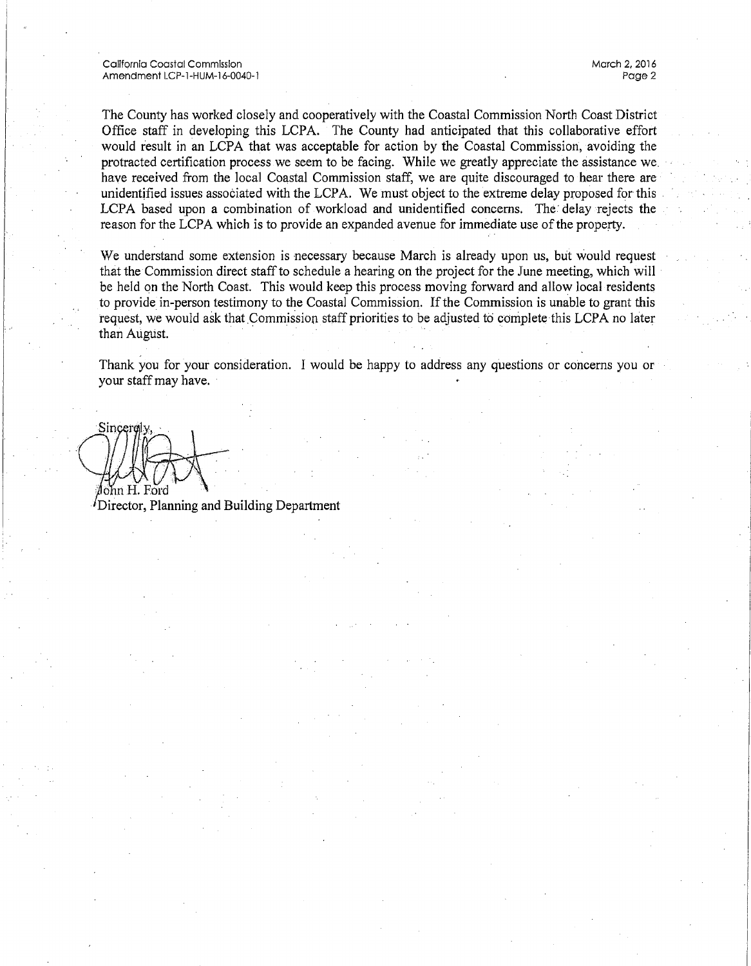California Coastal Commission Amendment LCP-1-HUM-16-0040-1

The County has worked closely and cooperatively with the Coastal Commission North Coast District Office staff in developing this LCPA. The County had anticipated that this collaborative effort would result in an LCPA that was acceptable for action by the Coastal Commission, avoiding the protracted certification process we seem to be facing. While we greatly appreciate the assistance we have received from the local Coastal Commission staff, we are quite discouraged to hear there are unidentified issues associated with the LCPA. We must object to the extreme delay proposed for this LCPA based upon a combination of workload and unidentified concerns. The delay rejects the reason for the LCPA which is to provide an expanded avenue for immediate use of the property.

We understand some extension is necessary because March is already upon us, but would request that the Commission direct staff to schedule a hearing on the project for the June meeting, which will be held on the North Coast. This would keep this process moving forward and allow local residents to provide in-person testimony to the Coastal Commission. If the Commission is unable to grant this request, we would ask that Commission staff priorities to be adjusted to complete this LCPA no later than August.

Thank you for your consideration. I would be happy to address any questions or concerns you or your staff may have.

Sincer ≬ohn H. Ford

<sup>*I*</sup>Director, Planning and Building Department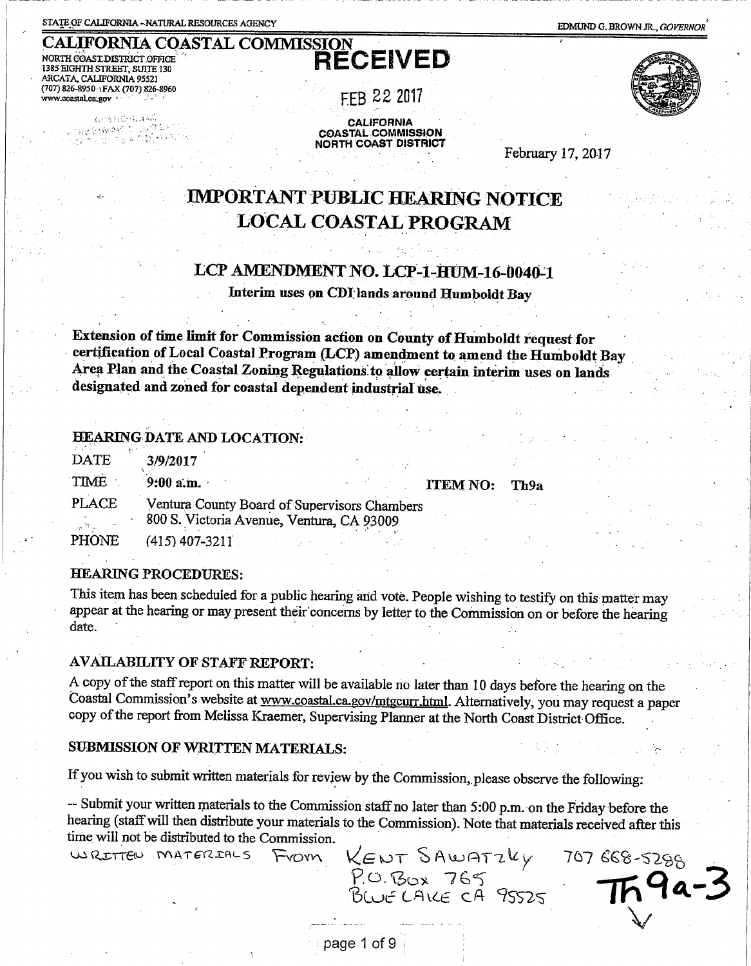STATE OF CALIFORNIA - NATURAL RESOURCES AGENCY

EDMUND G. BROWN JR., GOVERNOR

**CALIFORNIA COASTAL COMMISSION** NORTH COAST DISTRICT OFFICE 1385 EIGHTH STREET, SUITE 130 ARCATA, CALIFORNIA 95521 (707) 826-8950 FAX (707) 826-8960 www.coastal.ca.gov

 $g_{\rm{th}}(M_{\rm{B}}) \geq 0.001$  km

a (maal)

**RECEIVED** 

FEB 22 2017

**CALIFORNIA COASTAL COMMISSION NORTH COAST DISTRICT** 



February 17, 2017

# **IMPORTANT PUBLIC HEARING NOTICE LOCAL COASTAL PROGRAM**

# LCP AMENDMENT NO. LCP-1-HUM-16-0040-1

Interim uses on CDI lands around Humboldt Bay

Extension of time limit for Commission action on County of Humboldt request for certification of Local Coastal Program (LCP) amendment to amend the Humboldt Bay Area Plan and the Coastal Zoning Regulations to allow certain interim uses on lands designated and zoned for coastal dependent industrial use.

## **HEARING DATE AND LOCATION:**

| <b>DATE</b>            | 3/9/2017                                                                                  |                 |      |
|------------------------|-------------------------------------------------------------------------------------------|-----------------|------|
| TIME                   | $9:00$ a.m.                                                                               | <b>ITEM NO:</b> | Th9a |
| <b>PLACE</b><br>– 14 M | Ventura County Board of Supervisors Chambers<br>800 S. Victoria Avenue, Ventura, CA 93009 |                 |      |
| PHONE                  | (415) 407-3211                                                                            |                 |      |

### **HEARING PROCEDURES:**

This item has been scheduled for a public hearing and vote. People wishing to testify on this matter may appear at the hearing or may present their concerns by letter to the Commission on or before the hearing date.

# **AVAILABILITY OF STAFF REPORT:**

A copy of the staff report on this matter will be available no later than 10 days before the hearing on the Coastal Commission's website at www.coastal.ca.gov/mtgcurr.html. Alternatively, you may request a paper copy of the report from Melissa Kraemer, Supervising Planner at the North Coast District Office.

#### SUBMISSION OF WRITTEN MATERIALS:

If you wish to submit written materials for review by the Commission, please observe the following:

-- Submit your written materials to the Commission staff no later than 5:00 p.m. on the Friday before the hearing (staff will then distribute your materials to the Commission). Note that materials received after this time will not be distributed to the Commission.

KENT SAWATZKY WRITTEN MATERIALS 707 668-5288 From P.O. BOX 765 4a-3

page 1 of 9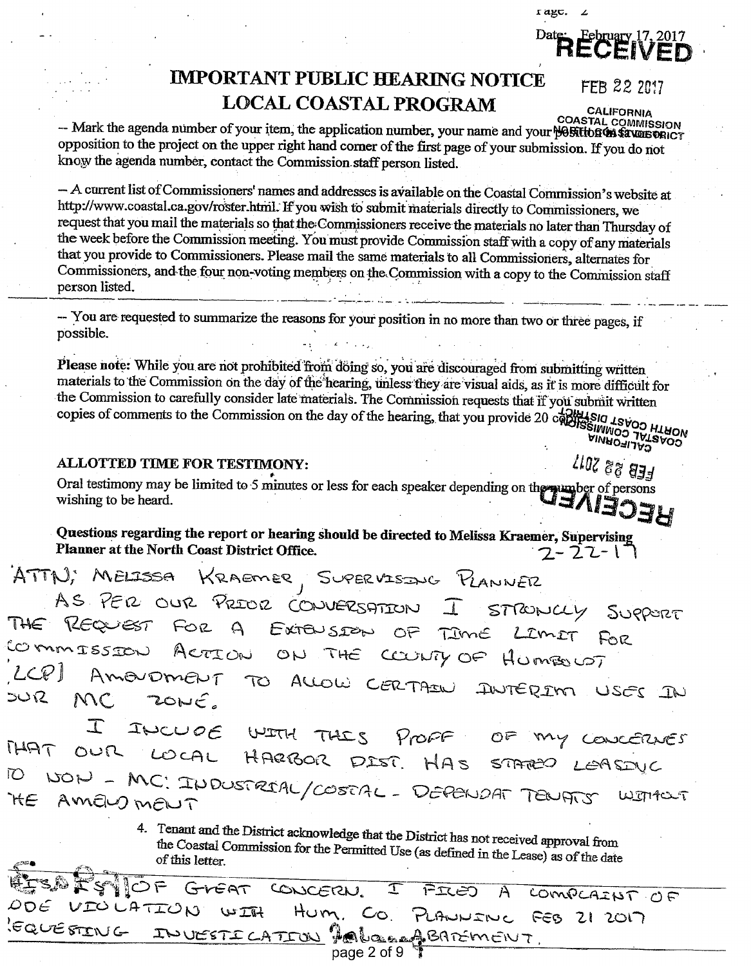r agc.

# Date: February 17, 2017

# **IMPORTANT PUBLIC HEARING NOTICE LOCAL COASTAL PROGRAM**

FEB 22 2017

CALIFORNIA

COASTAL COMMISSION<br>Mark the agenda number of your item, the application number, your name and your position opposition to the project on the upper right hand corner of the first page of your submission. If you do not know the agenda number, contact the Commission staff person listed.

- A current list of Commissioners' names and addresses is available on the Coastal Commission's website at http://www.coastal.ca.gov/roster.html. If you wish to submit materials directly to Commissioners, we request that you mail the materials so that the Commissioners receive the materials no later than Thursday of the week before the Commission meeting. You must provide Commission staff with a copy of any materials that you provide to Commissioners. Please mail the same materials to all Commissioners, alternates for Commissioners, and the four non-voting members on the Commission with a copy to the Commission staff person listed.

-- You are requested to summarize the reasons for your position in no more than two or three pages, if possible.

Please note: While you are not prohibited from doing so, you are discouraged from submitting written materials to the Commission on the day of the hearing, unless they are visual aids, as it is more difficult for the Commission to carefully consider late materials. The Commission requests that if you submit written copies of comments to the Commission on the day of the hearing, that you provide 20 copy DIMAOFILA<sup>Q</sup><br>ARIMMOO LATRAOW<br>REIG T2AOO HTROW<br>REIG T2AOO HTROW

## **ALLOTTED TIME FOR TESTIMONY:**

FEB 22 2017 Oral testimony may be limited to 5 minutes or less for each speaker depending on the pump ber of persons wishing to be heard.

Questions regarding the report or hearing should be directed to Melissa Kraemer, Supervising Planner at the North Coast District Office. <u> 7 - 22 - 1</u>

ATTN; MELISSA KRAEMER, SUPERVISING PLANNER AS PER OUR PRIOR CONVERSATION  $\Box$ STRONCLY SUPPORT THE REQUEST FOR A EXTENSION OF TIME LIMIT  $F_0$ COMMISSION ACTION ON THE COUNTY OF HUMBOUST AmourmENT ALLOW CERTAIN  $\infty$ INTERIM USES IN **ごいに** MC. ZONE.

INCUDE WITH THIS Profe  $OF$ CONCERNES OUR LOCAL HARBOR DIST. THAT HAS STATEO LEASINC NON - MC: INDUSTRIAL/COSTAL - DEPENDAT TENATS 10 WITHOUT AmEW MENT `HE

> 4. Tenant and the District acknowledge that the District has not received approval from the Coastal Commission for the Permitted Use (as defined in the Lease) as of the date of this letter.

 $\mathcal{O} \, \mathsf{P}$ CONCERN. GIGAT  $\mathbf{T}$ テエピつ  $A$ COMPLAINT OF VIOLATION  $UTU$ Hum. Co. PLANNINC FEB 21 2017 EQUESTING INVESTICATION PALORAPSATEMENT page 2 of 9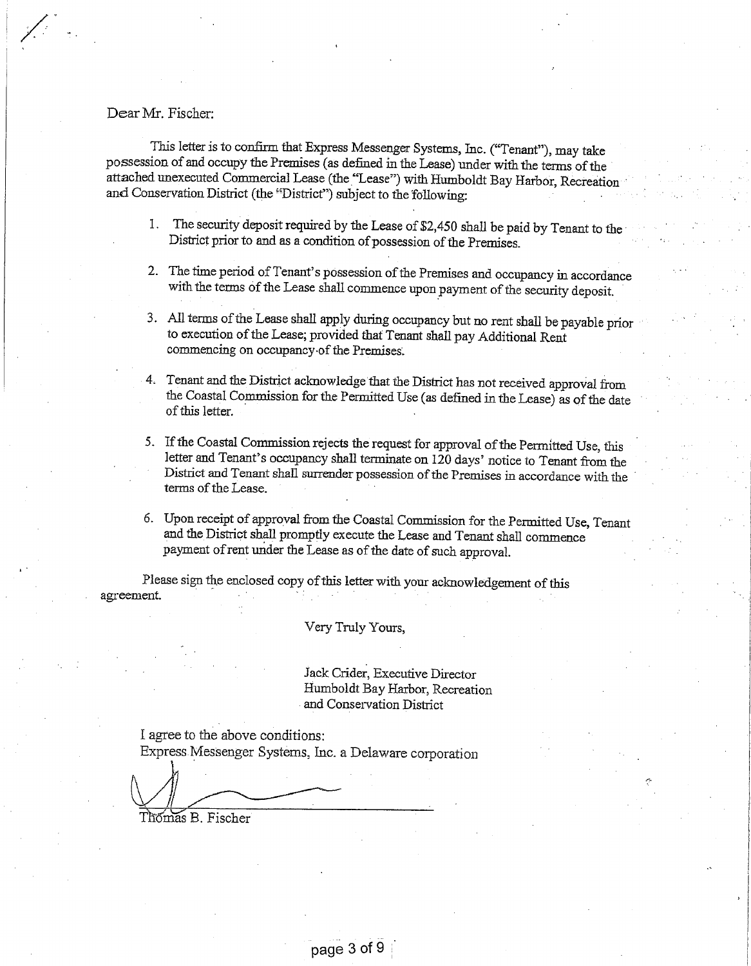Dear Mr. Fischer:

This letter is to confirm that Express Messenger Systems, Inc. ("Tenant"), may take possession of and occupy the Premises (as defined in the Lease) under with the terms of the attached unexecuted Commercial Lease (the "Lease") with Humboldt Bay Harbor, Recreation and Conservation District (the "District") subject to the following:

- 1. The security deposit required by the Lease of \$2,450 shall be paid by Tenant to the District prior to and as a condition of possession of the Premises.
- 2. The time period of Tenant's possession of the Premises and occupancy in accordance with the terms of the Lease shall commence upon payment of the security deposit.
- 3. All terms of the Lease shall apply during occupancy but no rent shall be payable prior to execution of the Lease; provided that Tenant shall pay Additional Rent commencing on occupancy of the Premises.
- 4. Tenant and the District acknowledge that the District has not received approval from the Coastal Commission for the Permitted Use (as defined in the Lease) as of the date of this letter.
- 5. If the Coastal Commission rejects the request for approval of the Permitted Use, this letter and Tenant's occupancy shall terminate on 120 days' notice to Tenant from the District and Tenant shall surrender possession of the Premises in accordance with the terms of the Lease.
- 6. Upon receipt of approval from the Coastal Commission for the Permitted Use, Tenant and the District shall promptly execute the Lease and Tenant shall commence payment of rent under the Lease as of the date of such approval.

Please sign the enclosed copy of this letter with your acknowledgement of this agreement.

Very Truly Yours,

Jack Crider, Executive Director Humboldt Bay Harbor, Recreation and Conservation District

I agree to the above conditions: Express Messenger Systems, Inc. a Delaware corporation

Thómas B. Fischer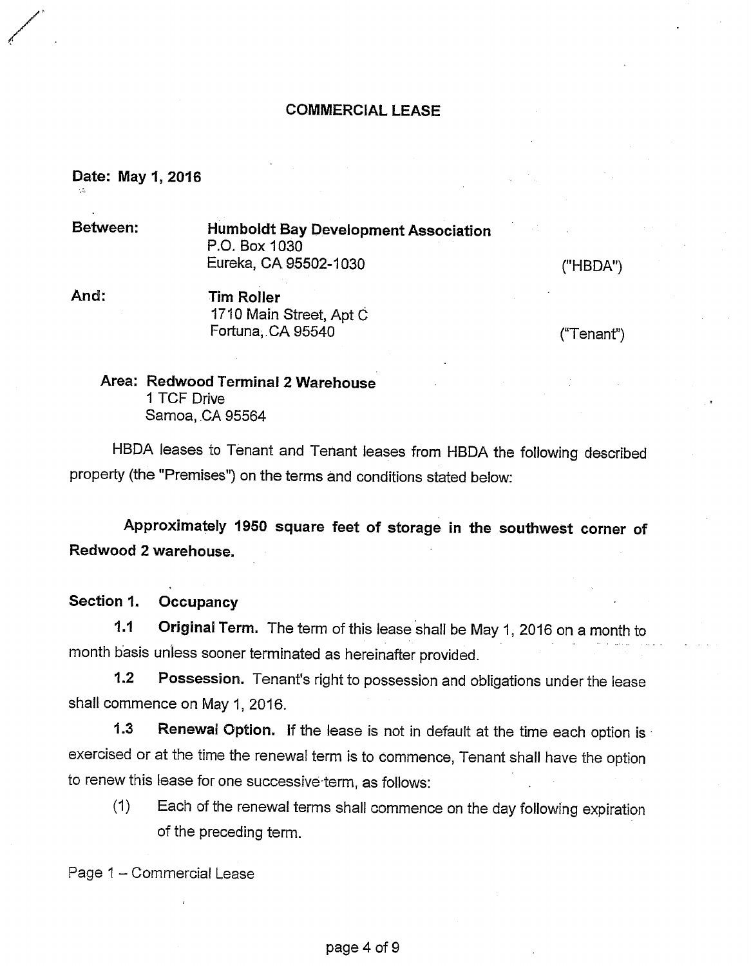# **COMMERCIAL LEASE**

# Date: May 1, 2016

Between:

**Humboldt Bay Development Association** P.O. Box 1030 Eureka, CA 95502-1030

("HBDA")

And: **Tim Roller** 1710 Main Street, Apt C Fortuna, CA 95540

 $("Tenant")$ 

Area: Redwood Terminal 2 Warehouse 1 TCF Drive Samoa, CA 95564

HBDA leases to Tenant and Tenant leases from HBDA the following described property (the "Premises") on the terms and conditions stated below:

Approximately 1950 square feet of storage in the southwest corner of Redwood 2 warehouse.

Section 1. Occupancy

 $1.1$ Original Term. The term of this lease shall be May 1, 2016 on a month to month basis unless sooner terminated as hereinafter provided.

 $1.2$ Possession. Tenant's right to possession and obligations under the lease shall commence on May 1, 2016.

 $1.3$ Renewal Option. If the lease is not in default at the time each option is exercised or at the time the renewal term is to commence, Tenant shall have the option to renew this lease for one successive term, as follows:

Each of the renewal terms shall commence on the day following expiration  $(1)$ of the preceding term.

Page 1 - Commercial Lease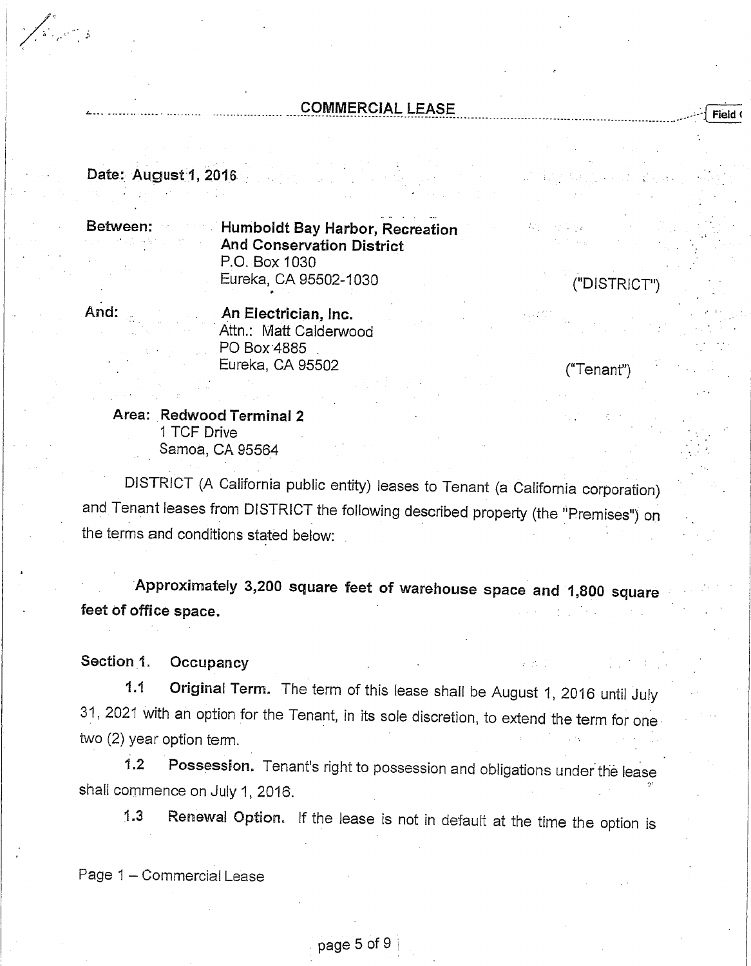# **COMMERCIAL LEASE**

Date: August 1, 2016

Between:

Humboldt Bay Harbor, Recreation **And Conservation District** P.O. Box 1030 Eureka, CA 95502-1030

And:

 $\sum_{\alpha\in\mathcal{C}}\alpha_{\alpha\beta}$ 

An Electrician, Inc. Attn.: Matt Calderwood PO Box 4885 Eureka, CA 95502

("Tenant")

("DISTRICT")

**Field** 

Area: Redwood Terminal 2 1 TCF Drive Samoa, CA 95564

DISTRICT (A California public entity) leases to Tenant (a California corporation) and Tenant leases from DISTRICT the following described property (the "Premises") on the terms and conditions stated below:

Approximately 3,200 square feet of warehouse space and 1,800 square feet of office space.

Section 1. Occupancy

Original Term. The term of this lease shall be August 1, 2016 until July  $1.1$ 31, 2021 with an option for the Tenant, in its sole discretion, to extend the term for one two (2) year option term.

Possession. Tenant's right to possession and obligations under the lease  $1.2$ shall commence on July 1, 2016.

Renewal Option. If the lease is not in default at the time the option is  $1.3$ 

Page 1 - Commercial Lease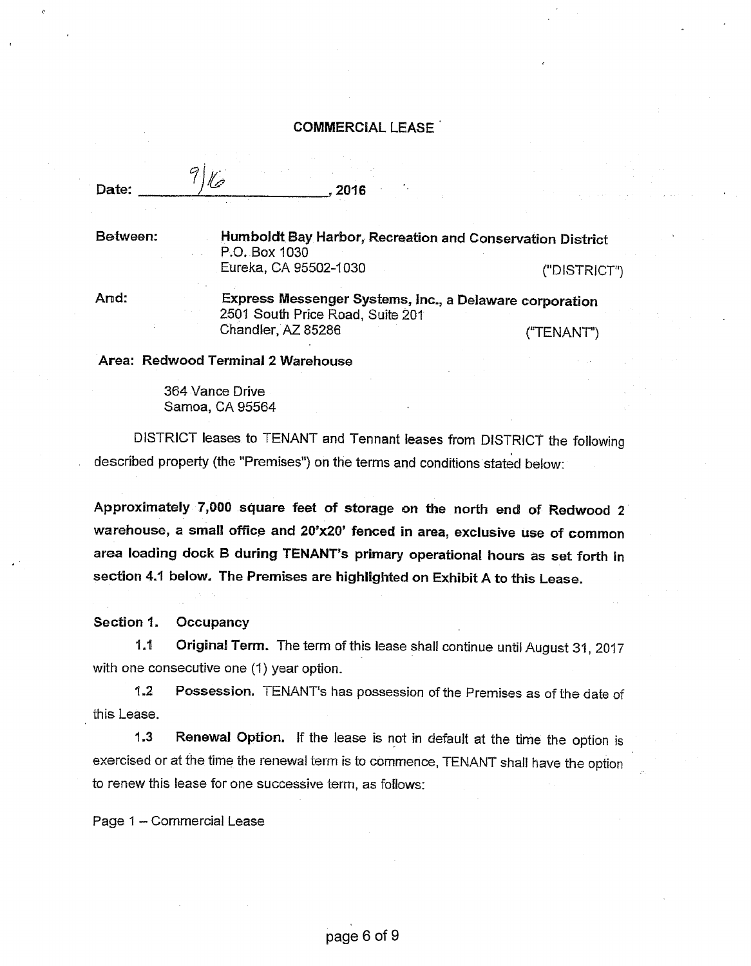#### **COMMERCIAL LEASE**

Date:

2016

Between:

Humboldt Bay Harbor, Recreation and Conservation District P.O. Box 1030 Eureka, CA 95502-1030 ("DISTRICT")

And:

Express Messenger Systems, Inc., a Delaware corporation 2501 South Price Road, Suite 201 Chandler, AZ 85286 ("TENANT")

Area: Redwood Terminal 2 Warehouse

 $\mathbb{Z}$ 

364 Vance Drive Samoa, CA 95564

DISTRICT leases to TENANT and Tennant leases from DISTRICT the following described property (the "Premises") on the terms and conditions stated below:

Approximately 7,000 square feet of storage on the north end of Redwood 2 warehouse, a small office and 20'x20' fenced in area, exclusive use of common area loading dock B during TENANT's primary operational hours as set forth in section 4.1 below. The Premises are highlighted on Exhibit A to this Lease.

Section 1. Occupancy

 $1.1$ Original Term. The term of this lease shall continue until August 31, 2017 with one consecutive one (1) year option.

 $1.2$ Possession. TENANT's has possession of the Premises as of the date of this Lease.

Renewal Option. If the lease is not in default at the time the option is  $1.3$ exercised or at the time the renewal term is to commence, TENANT shall have the option to renew this lease for one successive term, as follows:

Page 1 - Commercial Lease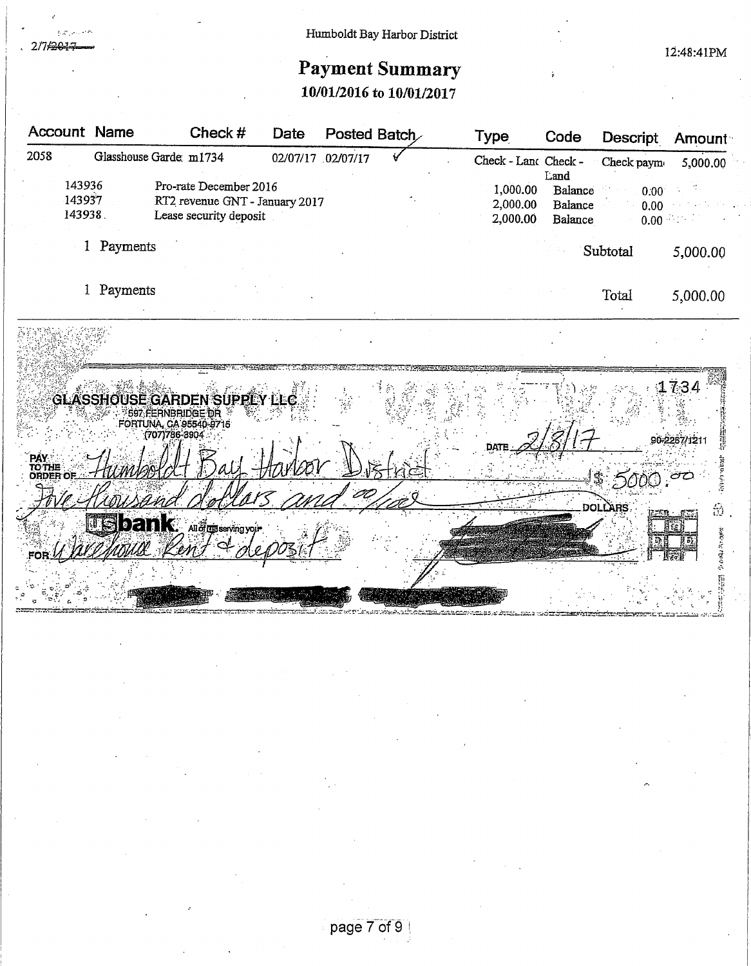iczni 2/7/2017

# Humboldt Bay Harbor District

12:48:41PM

# **Payment Summary**

10/01/2016 to 10/01/2017

| <b>Account Name</b>                |            | Check #                                                  | Date |                   | Posted Batch | Type                 | Code               | Descript       | Amount   |
|------------------------------------|------------|----------------------------------------------------------|------|-------------------|--------------|----------------------|--------------------|----------------|----------|
| 2058                               |            | Glasshouse Garde: m1734                                  |      | 02/07/17 02/07/17 |              | Check - Land Check - | Land               | Check paym     | 5,000.00 |
| 143936                             |            | Pro-rate December 2016                                   |      |                   |              | 1,000.00             | Balance            | 0.00           |          |
| 143937<br>143938.                  |            | RT2 revenue GNT - January 2017<br>Lease security deposit |      |                   |              | 2,000.00<br>2,000.00 | Balance<br>Balance | 0.00           |          |
|                                    |            |                                                          |      |                   |              |                      |                    | 0.00           |          |
|                                    | 1 Payments |                                                          |      |                   |              |                      |                    | Subtotal       | 5,000.00 |
|                                    |            |                                                          |      |                   |              |                      |                    |                |          |
|                                    | Payments   |                                                          |      |                   |              |                      |                    | Total          | 5,000.00 |
|                                    |            |                                                          |      |                   |              |                      |                    |                |          |
|                                    |            |                                                          |      |                   |              |                      |                    |                |          |
|                                    |            |                                                          |      |                   |              |                      |                    |                |          |
|                                    |            |                                                          |      |                   |              |                      |                    |                | 1734     |
|                                    |            | <b>GLASSHOUSE GARDEN SUPPLY LLC</b><br>S97 FERNBRIDGE DR |      |                   |              |                      |                    |                |          |
|                                    |            | FORTUNA, CA 95540-9715<br>(707)786-3904                  |      |                   |              |                      |                    |                |          |
|                                    |            |                                                          |      |                   |              |                      |                    |                |          |
| <b>PAY<br/>TO THE<br/>ORDER OF</b> |            |                                                          |      |                   |              |                      |                    |                |          |
|                                    |            |                                                          |      | 20                |              |                      |                    |                |          |
|                                    |            |                                                          |      |                   |              |                      |                    | <b>DOLLARS</b> | 金        |
|                                    |            | <b>USbank.</b> Audigsseving your                         |      |                   |              |                      |                    |                |          |
|                                    |            |                                                          |      |                   |              |                      |                    |                |          |
|                                    |            |                                                          |      |                   |              |                      |                    |                |          |
|                                    |            |                                                          |      |                   |              |                      |                    |                |          |
|                                    |            |                                                          |      |                   |              |                      |                    |                |          |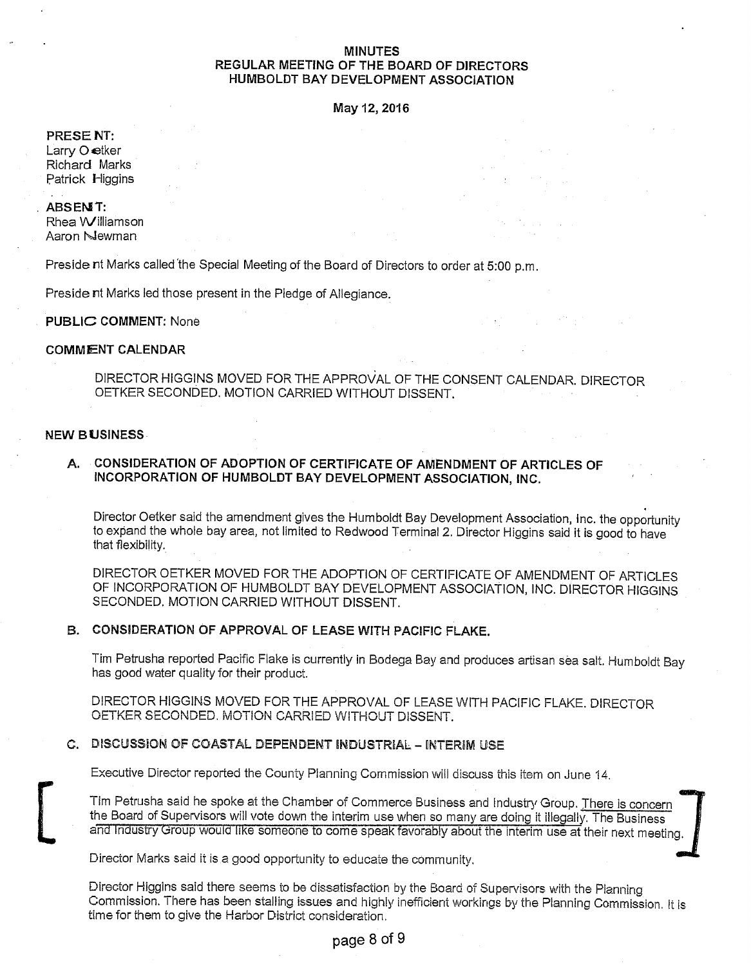#### **MINUTES** REGULAR MEETING OF THE BOARD OF DIRECTORS HUMBOLDT BAY DEVELOPMENT ASSOCIATION

May 12, 2016

#### PRESENT:

Larry O etker Richard Marks Patrick Higgins

#### **ABSENT:**

Rhea Williamson Aaron Newman

Preside nt Marks called the Special Meeting of the Board of Directors to order at 5:00 p.m.

Preside nt Marks led those present in the Pledge of Allegiance.

#### **PUBLIC COMMENT: None**

#### **COMMENT CALENDAR**

DIRECTOR HIGGINS MOVED FOR THE APPROVAL OF THE CONSENT CALENDAR. DIRECTOR OETKER SECONDED, MOTION CARRIED WITHOUT DISSENT.

#### **NEW BUSINESS**

#### CONSIDERATION OF ADOPTION OF CERTIFICATE OF AMENDMENT OF ARTICLES OF А. INCORPORATION OF HUMBOLDT BAY DEVELOPMENT ASSOCIATION, INC.

Director Oetker said the amendment gives the Humboldt Bay Development Association, Inc. the opportunity to expand the whole bay area, not limited to Redwood Terminal 2. Director Higgins said it is good to have that flexibility.

DIRECTOR OETKER MOVED FOR THE ADOPTION OF CERTIFICATE OF AMENDMENT OF ARTICLES OF INCORPORATION OF HUMBOLDT BAY DEVELOPMENT ASSOCIATION, INC. DIRECTOR HIGGINS SECONDED. MOTION CARRIED WITHOUT DISSENT.

#### B. CONSIDERATION OF APPROVAL OF LEASE WITH PACIFIC FLAKE.

Tim Petrusha reported Pacific Flake is currently in Bodega Bay and produces artisan sea salt. Humboldt Bay has good water quality for their product.

DIRECTOR HIGGINS MOVED FOR THE APPROVAL OF LEASE WITH PACIFIC FLAKE. DIRECTOR OETKER SECONDED. MOTION CARRIED WITHOUT DISSENT.

#### C. DISCUSSION OF COASTAL DEPENDENT INDUSTRIAL - INTERIM USE

Executive Director reported the County Planning Commission will discuss this item on June 14.

Tim Petrusha said he spoke at the Chamber of Commerce Business and Industry Group. There is concern the Board of Supervisors will vote down the interim use when so many are doing it illegally. The Business and Industry Group would like someone to come speak favorably about the Interim use at their next meeting.

Director Marks said it is a good opportunity to educate the community.

Director Higgins said there seems to be dissatisfaction by the Board of Supervisors with the Planning Commission. There has been stalling issues and highly inefficient workings by the Planning Commission. It is time for them to give the Harbor District consideration.